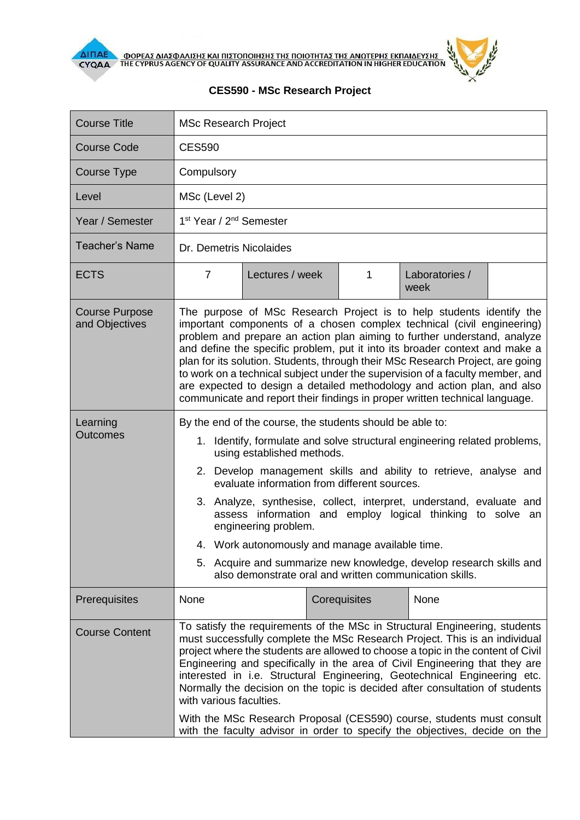



## **CES590 - MSc Research Project**

| <b>Course Title</b>                     | <b>MSc Research Project</b>                                                                                                                                                                                                                                                                                                                                                                                                                                                                                                                                                                                                                                               |                 |              |                        |  |
|-----------------------------------------|---------------------------------------------------------------------------------------------------------------------------------------------------------------------------------------------------------------------------------------------------------------------------------------------------------------------------------------------------------------------------------------------------------------------------------------------------------------------------------------------------------------------------------------------------------------------------------------------------------------------------------------------------------------------------|-----------------|--------------|------------------------|--|
| <b>Course Code</b>                      | <b>CES590</b>                                                                                                                                                                                                                                                                                                                                                                                                                                                                                                                                                                                                                                                             |                 |              |                        |  |
| <b>Course Type</b>                      | Compulsory                                                                                                                                                                                                                                                                                                                                                                                                                                                                                                                                                                                                                                                                |                 |              |                        |  |
| Level                                   | MSc (Level 2)                                                                                                                                                                                                                                                                                                                                                                                                                                                                                                                                                                                                                                                             |                 |              |                        |  |
| Year / Semester                         | 1 <sup>st</sup> Year / 2 <sup>nd</sup> Semester                                                                                                                                                                                                                                                                                                                                                                                                                                                                                                                                                                                                                           |                 |              |                        |  |
| <b>Teacher's Name</b>                   | Dr. Demetris Nicolaides                                                                                                                                                                                                                                                                                                                                                                                                                                                                                                                                                                                                                                                   |                 |              |                        |  |
| <b>ECTS</b>                             | 7                                                                                                                                                                                                                                                                                                                                                                                                                                                                                                                                                                                                                                                                         | Lectures / week | 1            | Laboratories /<br>week |  |
| <b>Course Purpose</b><br>and Objectives | The purpose of MSc Research Project is to help students identify the<br>important components of a chosen complex technical (civil engineering)<br>problem and prepare an action plan aiming to further understand, analyze<br>and define the specific problem, put it into its broader context and make a<br>plan for its solution. Students, through their MSc Research Project, are going<br>to work on a technical subject under the supervision of a faculty member, and<br>are expected to design a detailed methodology and action plan, and also<br>communicate and report their findings in proper written technical language.                                    |                 |              |                        |  |
| Learning<br><b>Outcomes</b>             | By the end of the course, the students should be able to:<br>1. Identify, formulate and solve structural engineering related problems,<br>using established methods.<br>2. Develop management skills and ability to retrieve, analyse and<br>evaluate information from different sources.<br>3. Analyze, synthesise, collect, interpret, understand, evaluate and<br>assess information and employ logical thinking to solve an<br>engineering problem.<br>4. Work autonomously and manage available time.<br>5. Acquire and summarize new knowledge, develop research skills and<br>also demonstrate oral and written communication skills.                              |                 |              |                        |  |
| Prerequisites                           | None                                                                                                                                                                                                                                                                                                                                                                                                                                                                                                                                                                                                                                                                      |                 | Corequisites | None                   |  |
| <b>Course Content</b>                   | To satisfy the requirements of the MSc in Structural Engineering, students<br>must successfully complete the MSc Research Project. This is an individual<br>project where the students are allowed to choose a topic in the content of Civil<br>Engineering and specifically in the area of Civil Engineering that they are<br>interested in i.e. Structural Engineering, Geotechnical Engineering etc.<br>Normally the decision on the topic is decided after consultation of students<br>with various faculties.<br>With the MSc Research Proposal (CES590) course, students must consult<br>with the faculty advisor in order to specify the objectives, decide on the |                 |              |                        |  |